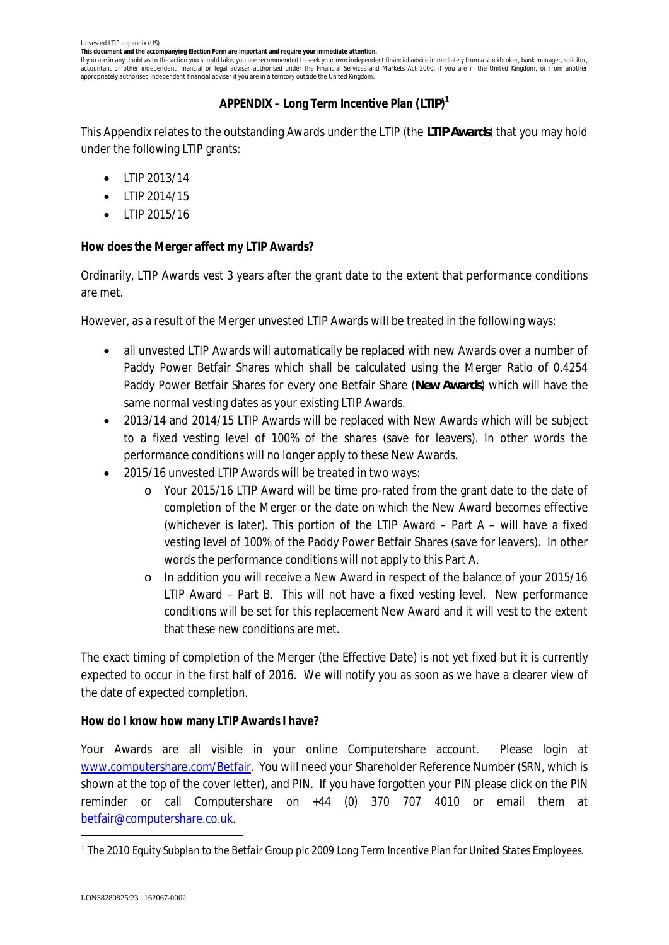**This document and the accompanying Election Form are important and require your immediate attention.**

If you are in any doubt as to the action you should take, you are recommended to seek your own independent financial advice immediately from a stockbroker, bank manager, solicitor, accountant or other independent financial or legal adviser authorised under the Financial Services and Markets Act 2000, if you are in the United Kingdom, or from another appropriately authorised independent financial adviser if you are in a territory outside the United Kingdom.

# **APPENDIX – Long Term Incentive Plan (***LTIP***) 1**

This Appendix relates to the outstanding Awards under the LTIP (the *LTIP Awards*) that you may hold under the following LTIP grants:

- · LTIP 2013/14
- $\bullet$  LTIP 2014/15
- · LTIP 2015/16

**How does the Merger affect my LTIP Awards?**

Ordinarily, LTIP Awards vest 3 years after the grant date to the extent that performance conditions are met.

However, as a result of the Merger unvested LTIP Awards will be treated in the following ways:

- · all unvested LTIP Awards will automatically be replaced with new Awards over a number of Paddy Power Betfair Shares which shall be calculated using the Merger Ratio of 0.4254 Paddy Power Betfair Shares for every one Betfair Share (*New Awards*) which will have the same normal vesting dates as your existing LTIP Awards.
- · 2013/14 and 2014/15 LTIP Awards will be replaced with New Awards which will be subject to a fixed vesting level of 100% of the shares (save for leavers). In other words the performance conditions will no longer apply to these New Awards.
- · 2015/16 unvested LTIP Awards will be treated in two ways:
	- o Your 2015/16 LTIP Award will be time pro-rated from the grant date to the date of completion of the Merger or the date on which the New Award becomes effective (whichever is later). This portion of the LTIP Award – Part A – will have a fixed vesting level of 100% of the Paddy Power Betfair Shares (save for leavers). In other words the performance conditions will not apply to this Part A.
	- o In addition you will receive a New Award in respect of the balance of your 2015/16 LTIP Award – Part B. This will not have a fixed vesting level. New performance conditions will be set for this replacement New Award and it will vest to the extent that these new conditions are met.

The exact timing of completion of the Merger (the Effective Date) is not yet fixed but it is currently expected to occur in the first half of 2016. We will notify you as soon as we have a clearer view of the date of expected completion.

**How do I know how many LTIP Awards I have?**

Your Awards are all visible in your online Computershare account. Please login at www.computershare.com/Betfair. You will need your Shareholder Reference Number (SRN, which is shown at the top of the cover letter), and PIN. If you have forgotten your PIN please click on the PIN reminder or call Computershare on +44 (0) 370 707 4010 or email them at betfair@computershare.co.uk.

<sup>&</sup>lt;sup>1</sup> The 2010 Equity Subplan to the Betfair Group plc 2009 Long Term Incentive Plan for United States Employees.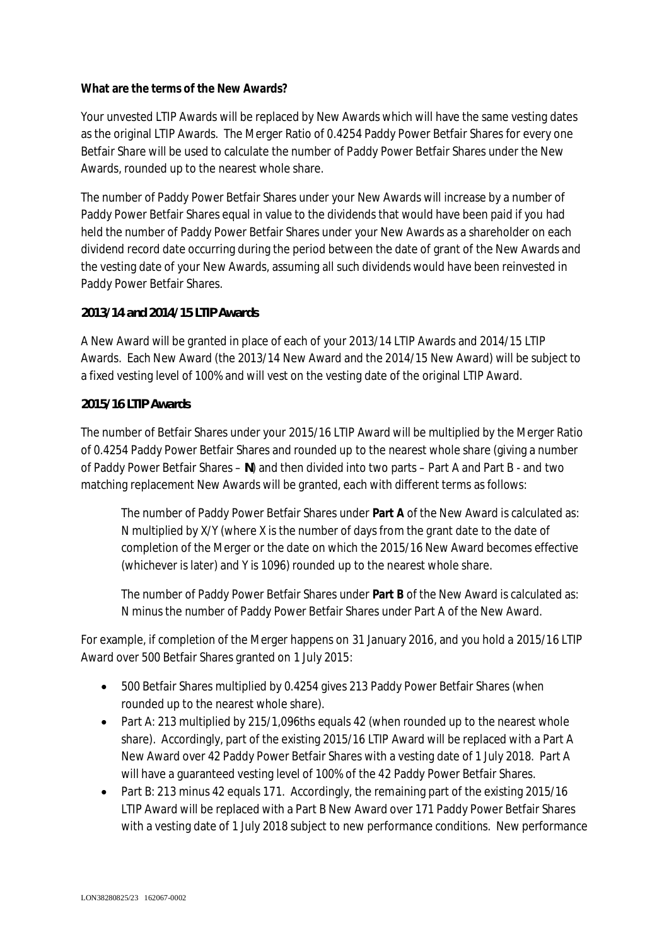# **What are the terms of the New Awards?**

Your unvested LTIP Awards will be replaced by New Awards which will have the same vesting dates as the original LTIP Awards. The Merger Ratio of 0.4254 Paddy Power Betfair Shares for every one Betfair Share will be used to calculate the number of Paddy Power Betfair Shares under the New Awards, rounded up to the nearest whole share.

The number of Paddy Power Betfair Shares under your New Awards will increase by a number of Paddy Power Betfair Shares equal in value to the dividends that would have been paid if you had held the number of Paddy Power Betfair Shares under your New Awards as a shareholder on each dividend record date occurring during the period between the date of grant of the New Awards and the vesting date of your New Awards, assuming all such dividends would have been reinvested in Paddy Power Betfair Shares.

## *2013/14 and 2014/15 LTIP Awards*

A New Award will be granted in place of each of your 2013/14 LTIP Awards and 2014/15 LTIP Awards. Each New Award (the 2013/14 New Award and the 2014/15 New Award) will be subject to a fixed vesting level of 100% and will vest on the vesting date of the original LTIP Award.

## *2015/16 LTIP Awards*

The number of Betfair Shares under your 2015/16 LTIP Award will be multiplied by the Merger Ratio of 0.4254 Paddy Power Betfair Shares and rounded up to the nearest whole share (giving a number of Paddy Power Betfair Shares – *N*) and then divided into two parts – Part A and Part B - and two matching replacement New Awards will be granted, each with different terms as follows:

The number of Paddy Power Betfair Shares under **Part A** of the New Award is calculated as: N multiplied by X/Y (where X is the number of days from the grant date to the date of completion of the Merger or the date on which the 2015/16 New Award becomes effective (whichever is later) and Y is 1096) rounded up to the nearest whole share.

The number of Paddy Power Betfair Shares under **Part B** of the New Award is calculated as: N minus the number of Paddy Power Betfair Shares under Part A of the New Award.

For example, if completion of the Merger happens on 31 January 2016, and you hold a 2015/16 LTIP Award over 500 Betfair Shares granted on 1 July 2015:

- · 500 Betfair Shares multiplied by 0.4254 gives 213 Paddy Power Betfair Shares (when rounded up to the nearest whole share).
- Part A: 213 multiplied by 215/1,096ths equals 42 (when rounded up to the nearest whole share). Accordingly, part of the existing 2015/16 LTIP Award will be replaced with a Part A New Award over 42 Paddy Power Betfair Shares with a vesting date of 1 July 2018. Part A will have a guaranteed vesting level of 100% of the 42 Paddy Power Betfair Shares.
- · Part B: 213 minus 42 equals 171. Accordingly, the remaining part of the existing 2015/16 LTIP Award will be replaced with a Part B New Award over 171 Paddy Power Betfair Shares with a vesting date of 1 July 2018 subject to new performance conditions. New performance